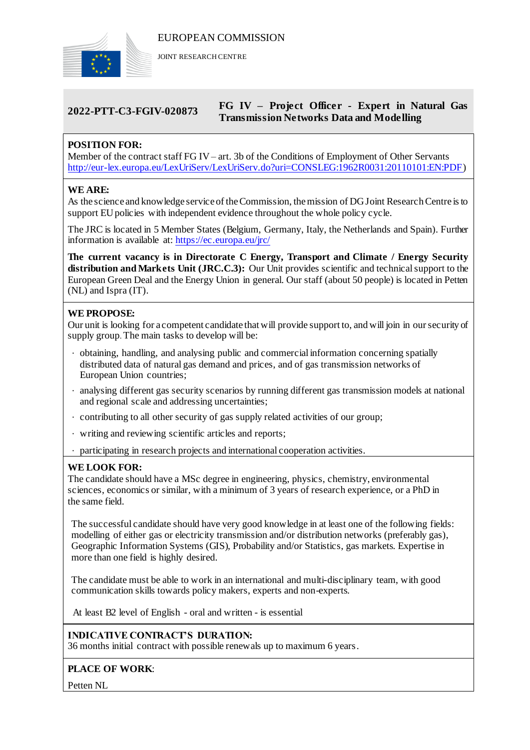

JOINT RESEARCH CENTRE

# **2022-PTT-C3-FGIV-020873 FG IV – Project Officer - Expert in Natural Gas Transmission Networks Data and Modelling**

# **POSITION FOR:**

Member of the contract staff FG IV– art. 3b of the Conditions of Employment of Other Servants [http://eur-lex.europa.eu/LexUriServ/LexUriServ.do?uri=CONSLEG:1962R0031:20110101:EN:PDF\)](http://eur-lex.europa.eu/LexUriServ/LexUriServ.do?uri=CONSLEG:1962R0031:20110101:EN:PDF)

# **WE ARE:**

As the science and knowledge service of the Commission, the mission of DG Joint Research Centre is to support EU policies with independent evidence throughout the whole policy cycle.

The JRC is located in 5 Member States (Belgium, Germany, Italy, the Netherlands and Spain). Further information is available at: <https://ec.europa.eu/jrc/>

**The current vacancy is in Directorate C Energy, Transport and Climate / Energy Security distribution and Markets Unit (JRC.C.3):** Our Unit provides scientific and technical support to the European Green Deal and the Energy Union in general. Our staff (about 50 people) is located in Petten (NL) and Ispra (IT).

## **WE PROPOSE:**

Our unit is looking for a competent candidate that will provide support to, and will join in our security of supply group. The main tasks to develop will be:

- obtaining, handling, and analysing public and commercial information concerning spatially distributed data of natural gas demand and prices, and of gas transmission networks of European Union countries;
- analysing different gas security scenarios by running different gas transmission models at national and regional scale and addressing uncertainties;
- contributing to all other security of gas supply related activities of our group;
- writing and reviewing scientific articles and reports;
- participating in research projects and international cooperation activities.

### **WE LOOK FOR:**

The candidate should have a MSc degree in engineering, physics, chemistry, environmental sciences, economics or similar, with a minimum of 3 years of research experience, or a PhD in the same field.

The successful candidate should have very good knowledge in at least one of the following fields: modelling of either gas or electricity transmission and/or distribution networks (preferably gas), Geographic Information Systems (GIS), Probability and/or Statistics, gas markets. Expertise in more than one field is highly desired.

The candidate must be able to work in an international and multi-disciplinary team, with good communication skills towards policy makers, experts and non-experts.

At least B2 level of English - oral and written - is essential

**INDICATIVE CONTRACT'S DURATION:**

36 months initial contract with possible renewals up to maximum 6 years.

### **PLACE OF WORK**:

Petten NL